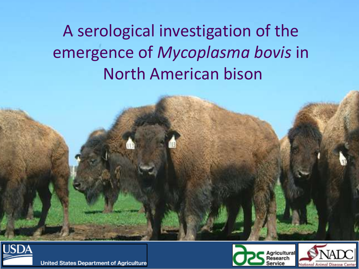## A serological investigation of the emergence of *Mycoplasma bovis* in North American bison



**United States Department of Agriculture** 



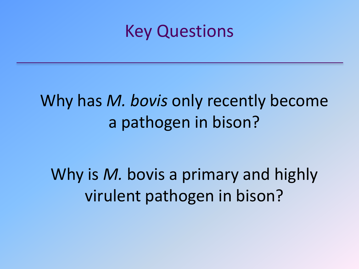### Key Questions

### Why has *M. bovis* only recently become a pathogen in bison?

Why is *M.* bovis a primary and highly virulent pathogen in bison?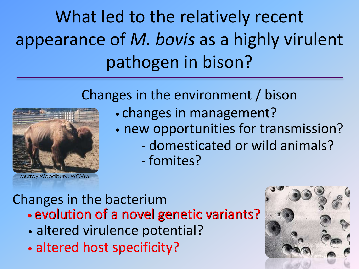# What led to the relatively recent appearance of *M. bovis* as a highly virulent pathogen in bison?

#### Changes in the environment / bison



Murray Woodbury, WCVM

- changes in management?
- new opportunities for transmission?
	- domesticated or wild animals?
	- fomites?

#### Changes in the bacterium

- evolution of a novel genetic variants? evolution of a novel genetic variants?
- altered virulence potential?
- altered host specificity? •altered host specificity?

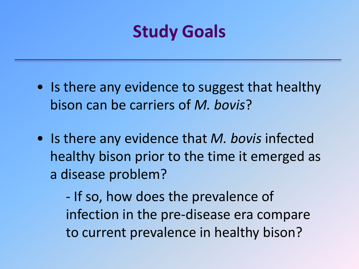## **Study Goals**

- Is there any evidence to suggest that healthy bison can be carriers of *M. bovis*?
- Is there any evidence that *M. bovis* infected healthy bison prior to the time it emerged as a disease problem?

- If so, how does the prevalence of infection in the pre-disease era compare to current prevalence in healthy bison?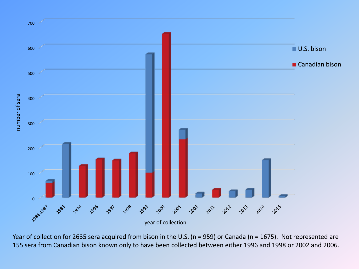

Year of collection for 2635 sera acquired from bison in the U.S. (n = 959) or Canada (n = 1675). Not represented are 155 sera from Canadian bison known only to have been collected between either 1996 and 1998 or 2002 and 2006.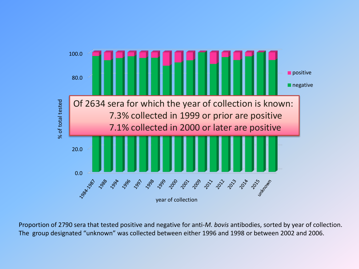

Proportion of 2790 sera that tested positive and negative for anti-*M. bovis* antibodies, sorted by year of collection.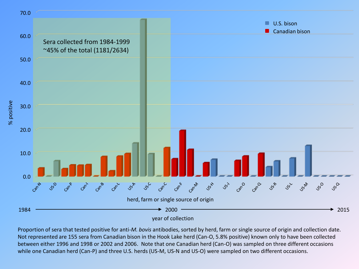

Proportion of sera that tested positive for anti-*M. bovis* antibodies, sorted by herd, farm or single source of origin and collection date. Not represented are 155 sera from Canadian bison in the Hook Lake herd (Can-O, 5.8% positive) known only to have been collected between either 1996 and 1998 or 2002 and 2006. Note that one Canadian herd (Can-O) was sampled on three different occasions while one Canadian herd (Can-P) and three U.S. herds (US-M, US-N and US-O) were sampled on two different occasions.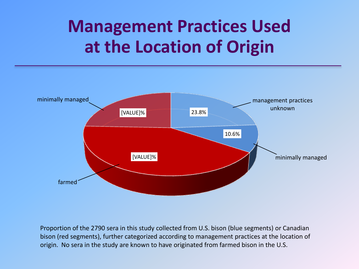## **Management Practices Used at the Location of Origin**



Proportion of the 2790 sera in this study collected from U.S. bison (blue segments) or Canadian bison (red segments), further categorized according to management practices at the location of origin. No sera in the study are known to have originated from farmed bison in the U.S.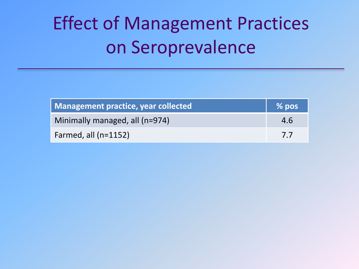## Effect of Management Practices on Seroprevalence

| Management practice, year collected | % pos |
|-------------------------------------|-------|
| Minimally managed, all (n=974)      | 4.6   |
| Farmed, all $(n=1152)$              | 7.7   |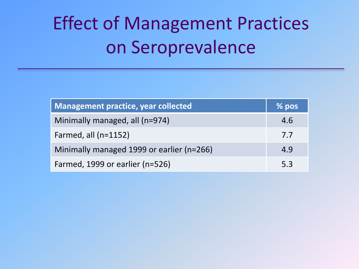# Effect of Management Practices on Seroprevalence

| <b>Management practice, year collected</b> | $\frac{9}{26}$ pos |
|--------------------------------------------|--------------------|
| Minimally managed, all (n=974)             | 4.6                |
| Farmed, all $(n=1152)$                     | 7.7                |
| Minimally managed 1999 or earlier (n=266)  | 4.9                |
| Farmed, 1999 or earlier (n=526)            | 5.3                |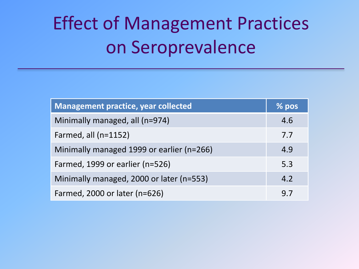# Effect of Management Practices on Seroprevalence

| <b>Management practice, year collected</b> | $%$ pos |
|--------------------------------------------|---------|
| Minimally managed, all (n=974)             | 4.6     |
| Farmed, all $(n=1152)$                     | 7.7     |
| Minimally managed 1999 or earlier (n=266)  | 4.9     |
| Farmed, 1999 or earlier (n=526)            | 5.3     |
| Minimally managed, 2000 or later (n=553)   | 4.2     |
| Farmed, 2000 or later (n=626)              | 9.7     |